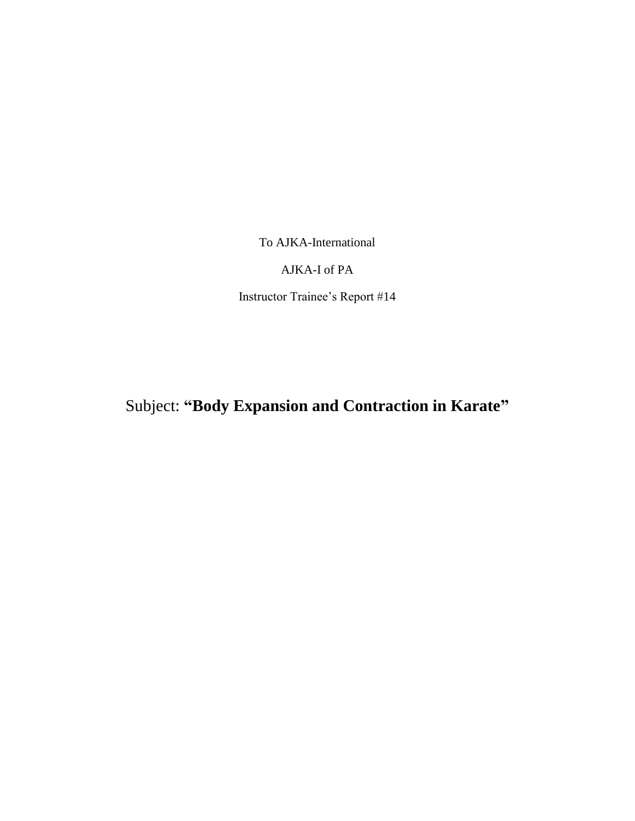To AJKA-International

## AJKA-I of PA

Instructor Trainee's Report #14

Subject: **"Body Expansion and Contraction in Karate"**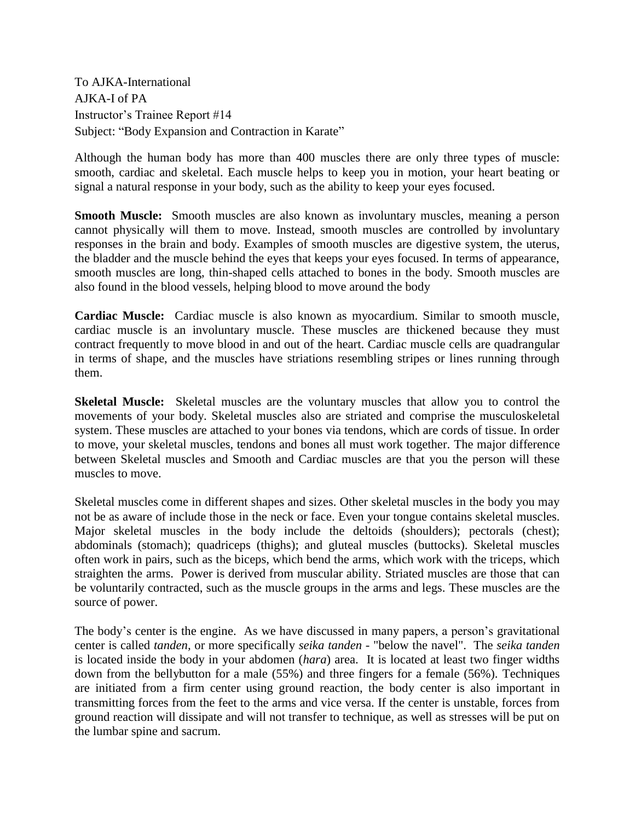To AJKA-International AJKA-I of PA Instructor's Trainee Report #14 Subject: "Body Expansion and Contraction in Karate"

Although the human body has more than 400 muscles there are only three types of muscle: smooth, cardiac and skeletal. Each muscle helps to keep you in motion, your heart beating or signal a natural response in your body, such as the ability to keep your eyes focused.

**Smooth Muscle:** Smooth muscles are also known as involuntary muscles, meaning a person cannot physically will them to move. Instead, smooth muscles are controlled by involuntary responses in the brain and body. Examples of smooth muscles are digestive system, the uterus, the bladder and the muscle behind the eyes that keeps your eyes focused. In terms of appearance, smooth muscles are long, thin-shaped cells attached to bones in the body. Smooth muscles are also found in the blood vessels, helping blood to move around the body

**Cardiac Muscle:** Cardiac muscle is also known as myocardium. Similar to smooth muscle, cardiac muscle is an involuntary muscle. These muscles are thickened because they must contract frequently to move blood in and out of the heart. Cardiac muscle cells are quadrangular in terms of shape, and the muscles have striations resembling stripes or lines running through them.

**Skeletal Muscle:** Skeletal muscles are the voluntary muscles that allow you to control the movements of your body. Skeletal muscles also are striated and comprise the musculoskeletal system. These muscles are attached to your bones via tendons, which are cords of tissue. In order to move, your skeletal muscles, tendons and bones all must work together. The major difference between Skeletal muscles and Smooth and Cardiac muscles are that you the person will these muscles to move.

Skeletal muscles come in different shapes and sizes. Other skeletal muscles in the body you may not be as aware of include those in the neck or face. Even your tongue contains skeletal muscles. Major skeletal muscles in the body include the deltoids (shoulders); pectorals (chest); abdominals (stomach); quadriceps (thighs); and gluteal muscles (buttocks). Skeletal muscles often work in pairs, such as the biceps, which bend the arms, which work with the triceps, which straighten the arms. Power is derived from muscular ability. Striated muscles are those that can be voluntarily contracted, such as the muscle groups in the arms and legs. These muscles are the source of power.

The body's center is the engine. As we have discussed in many papers, a person's gravitational center is called *tanden,* or more specifically *seika tanden -* "below the navel". The *seika tanden* is located inside the body in your abdomen (*hara*) area. It is located at least two finger widths down from the bellybutton for a male (55%) and three fingers for a female (56%). Techniques are initiated from a firm center using ground reaction, the body center is also important in transmitting forces from the feet to the arms and vice versa. If the center is unstable, forces from ground reaction will dissipate and will not transfer to technique, as well as stresses will be put on the lumbar spine and sacrum.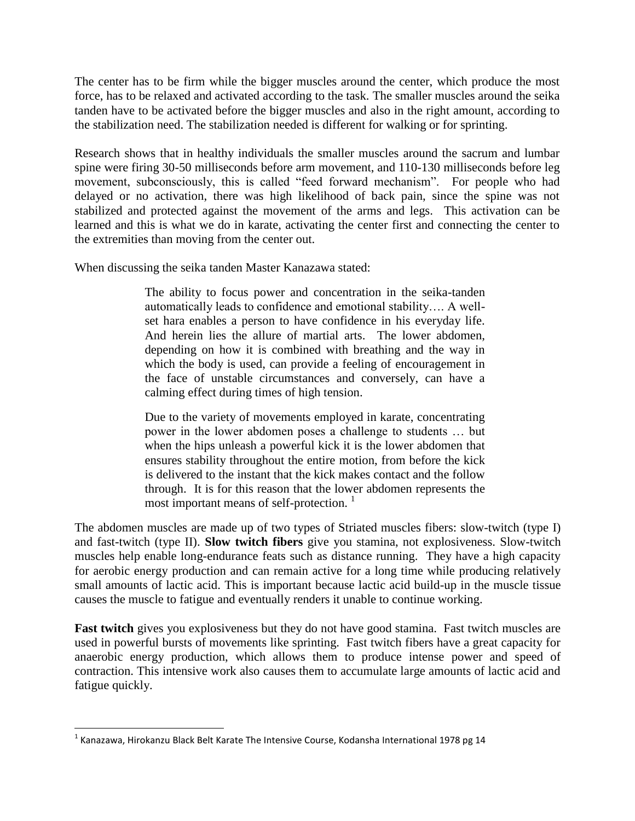The center has to be firm while the bigger muscles around the center, which produce the most force, has to be relaxed and activated according to the task. The smaller muscles around the seika tanden have to be activated before the bigger muscles and also in the right amount, according to the stabilization need. The stabilization needed is different for walking or for sprinting.

Research shows that in healthy individuals the smaller muscles around the sacrum and lumbar spine were firing 30-50 milliseconds before arm movement, and 110-130 milliseconds before leg movement, subconsciously, this is called "feed forward mechanism". For people who had delayed or no activation, there was high likelihood of back pain, since the spine was not stabilized and protected against the movement of the arms and legs. This activation can be learned and this is what we do in karate, activating the center first and connecting the center to the extremities than moving from the center out.

When discussing the seika tanden Master Kanazawa stated:

The ability to focus power and concentration in the seika-tanden automatically leads to confidence and emotional stability…. A wellset hara enables a person to have confidence in his everyday life. And herein lies the allure of martial arts. The lower abdomen, depending on how it is combined with breathing and the way in which the body is used, can provide a feeling of encouragement in the face of unstable circumstances and conversely, can have a calming effect during times of high tension.

Due to the variety of movements employed in karate, concentrating power in the lower abdomen poses a challenge to students … but when the hips unleash a powerful kick it is the lower abdomen that ensures stability throughout the entire motion, from before the kick is delivered to the instant that the kick makes contact and the follow through. It is for this reason that the lower abdomen represents the most important means of self-protection.<sup>1</sup>

The abdomen muscles are made up of two types of Striated muscles fibers: slow-twitch (type I) and fast-twitch (type II). **Slow twitch fibers** give you stamina, not explosiveness. Slow-twitch muscles help enable long-endurance feats such as distance running. They have a high capacity for aerobic energy production and can remain active for a long time while producing relatively small amounts of lactic acid. This is important because lactic acid build-up in the muscle tissue causes the muscle to fatigue and eventually renders it unable to continue working.

**Fast twitch** gives you explosiveness but they do not have good stamina. Fast twitch muscles are used in powerful bursts of movements like sprinting. Fast twitch fibers have a great capacity for anaerobic energy production, which allows them to produce intense power and speed of contraction. This intensive work also causes them to accumulate large amounts of lactic acid and fatigue quickly.

 $\overline{\phantom{a}}$ 

 $^{1}$  Kanazawa, Hirokanzu Black Belt Karate The Intensive Course, Kodansha International 1978 pg 14